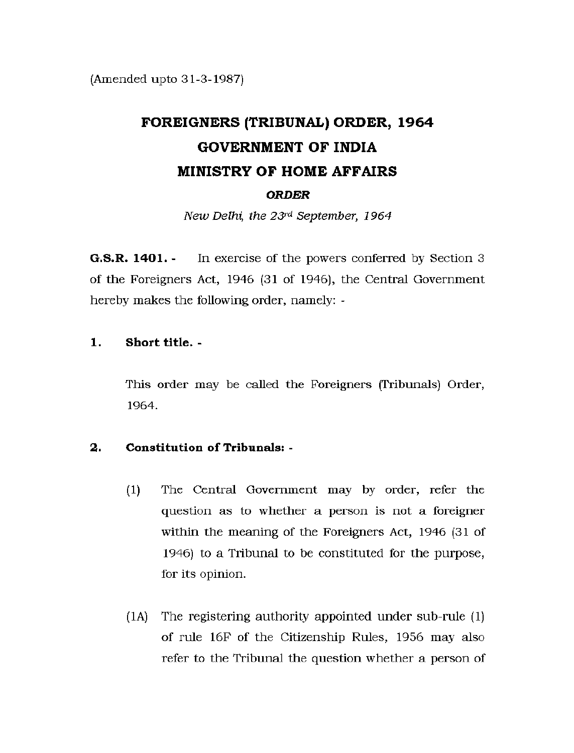(Amended upto 31-3-1987)

# **FOREIGNERS (TRIBUNAL) ORDER, 1964 GOVERNMENT OF INDIA MINISTRY OF HOME AFFAIRS**  *ORDER*

*New Delhi, the 23rd September, 1964* 

**G.S.R. 1401.** In exercise of the powers conferred by Section 3 of the Foreigners Act, 1946 (31 of 1946), the Central Government hereby makes the following order, namely: -

### **1. Short title.** -

This order may be called the Foreigners (Tribunals) Order, 1964.

## **2. Constitution of Tribunals:** -

- (1) The Central Government may by order, refer the question as to whether a person is not a foreigner within the meaning of the Foreigners Act, 1946 (31 of 1946) to a Tribunal to be constituted for the purpose, for its opinion.
- $(1)$  The registering authority appointed under sub-rule  $(1)$ of rule 16F of the Citizenship Rules, 1956 may also refer to the Tribunal the question whether a person of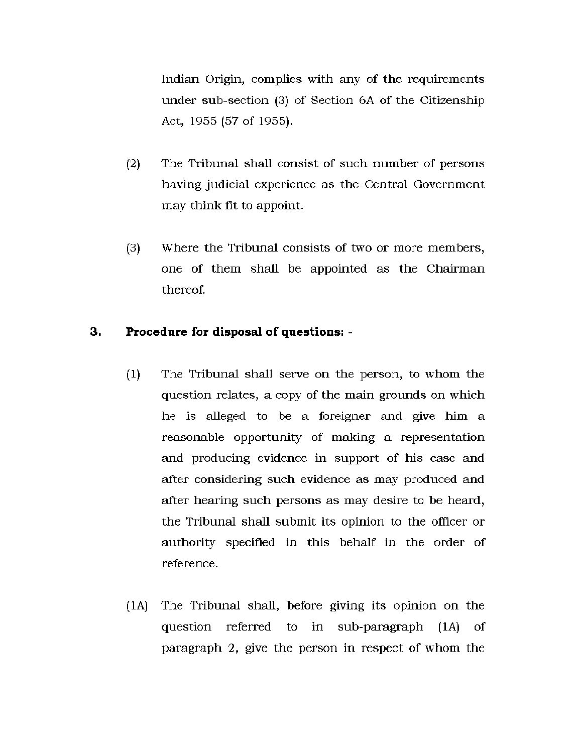Indian Origin, complies with any of the requirements under sub-section  $(3)$  of Section 6A of the Citizenship Act, 1955 (57 of 1955).

- (2) The Tribunal shall consist of such number of persons having judicial experience as the Central Government may think fit to appoint.
- (3) Where the Tribunal consists of two or more members, one of them shall be appointed as the Chairman thereof.

## **3. Procedure for disposal of questions:** -

- (1) The Tribunal shall serve on the person, to whom the question relates, a copy of the main grounds on which he is alleged to be a foreigner and give him a reasonable opportunity of making a representation and producing evidence in support of his case and after considering such evidence as may produced and after hearing such persons as may desire to be heard, the Tribunal shall submit its opinion to the officer or authority specified in this behalf in the order of reference.
- (1A) The Tribunal shall, before giving its opinion on the question referred to in sub-paragraph (1A) of paragraph 2, give the person in respect of whom the